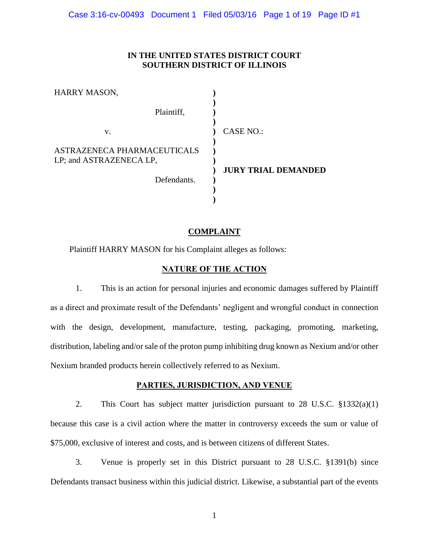### **IN THE UNITED STATES DISTRICT COURT SOUTHERN DISTRICT OF ILLINOIS**

| HARRY MASON,                                           |                            |
|--------------------------------------------------------|----------------------------|
| Plaintiff,                                             |                            |
| v.                                                     | CASE NO.:                  |
| ASTRAZENECA PHARMACEUTICALS<br>LP; and ASTRAZENECA LP, |                            |
| Defendants.                                            | <b>JURY TRIAL DEMANDED</b> |
|                                                        |                            |

# **COMPLAINT**

Plaintiff HARRY MASON for his Complaint alleges as follows:

### **NATURE OF THE ACTION**

1. This is an action for personal injuries and economic damages suffered by Plaintiff as a direct and proximate result of the Defendants' negligent and wrongful conduct in connection with the design, development, manufacture, testing, packaging, promoting, marketing, distribution, labeling and/or sale of the proton pump inhibiting drug known as Nexium and/or other Nexium branded products herein collectively referred to as Nexium.

### **PARTIES, JURISDICTION, AND VENUE**

2. This Court has subject matter jurisdiction pursuant to 28 U.S.C. §1332(a)(1) because this case is a civil action where the matter in controversy exceeds the sum or value of \$75,000, exclusive of interest and costs, and is between citizens of different States.

3. Venue is properly set in this District pursuant to 28 U.S.C. §1391(b) since Defendants transact business within this judicial district. Likewise, a substantial part of the events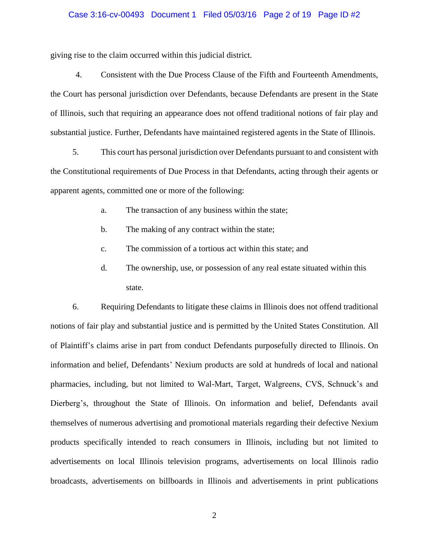### Case 3:16-cv-00493 Document 1 Filed 05/03/16 Page 2 of 19 Page ID #2

giving rise to the claim occurred within this judicial district.

4. Consistent with the Due Process Clause of the Fifth and Fourteenth Amendments, the Court has personal jurisdiction over Defendants, because Defendants are present in the State of Illinois, such that requiring an appearance does not offend traditional notions of fair play and substantial justice. Further, Defendants have maintained registered agents in the State of Illinois.

5. This court has personal jurisdiction over Defendants pursuant to and consistent with the Constitutional requirements of Due Process in that Defendants, acting through their agents or apparent agents, committed one or more of the following:

- a. The transaction of any business within the state;
- b. The making of any contract within the state;
- c. The commission of a tortious act within this state; and
- d. The ownership, use, or possession of any real estate situated within this state.

6. Requiring Defendants to litigate these claims in Illinois does not offend traditional notions of fair play and substantial justice and is permitted by the United States Constitution. All of Plaintiff's claims arise in part from conduct Defendants purposefully directed to Illinois. On information and belief, Defendants' Nexium products are sold at hundreds of local and national pharmacies, including, but not limited to Wal-Mart, Target, Walgreens, CVS, Schnuck's and Dierberg's, throughout the State of Illinois. On information and belief, Defendants avail themselves of numerous advertising and promotional materials regarding their defective Nexium products specifically intended to reach consumers in Illinois, including but not limited to advertisements on local Illinois television programs, advertisements on local Illinois radio broadcasts, advertisements on billboards in Illinois and advertisements in print publications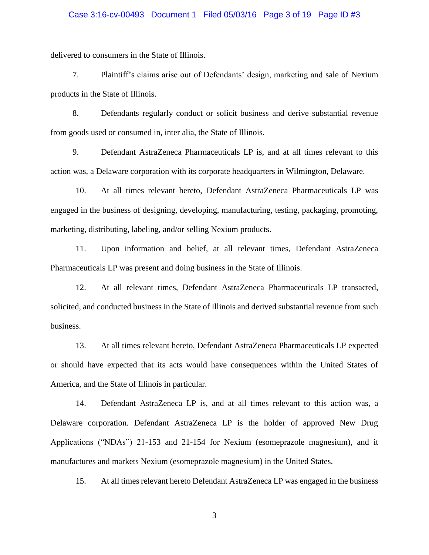### Case 3:16-cv-00493 Document 1 Filed 05/03/16 Page 3 of 19 Page ID #3

delivered to consumers in the State of Illinois.

7. Plaintiff's claims arise out of Defendants' design, marketing and sale of Nexium products in the State of Illinois.

8. Defendants regularly conduct or solicit business and derive substantial revenue from goods used or consumed in, inter alia, the State of Illinois.

9. Defendant AstraZeneca Pharmaceuticals LP is, and at all times relevant to this action was, a Delaware corporation with its corporate headquarters in Wilmington, Delaware.

10. At all times relevant hereto, Defendant AstraZeneca Pharmaceuticals LP was engaged in the business of designing, developing, manufacturing, testing, packaging, promoting, marketing, distributing, labeling, and/or selling Nexium products.

11. Upon information and belief, at all relevant times, Defendant AstraZeneca Pharmaceuticals LP was present and doing business in the State of Illinois.

12. At all relevant times, Defendant AstraZeneca Pharmaceuticals LP transacted, solicited, and conducted business in the State of Illinois and derived substantial revenue from such business.

13. At all times relevant hereto, Defendant AstraZeneca Pharmaceuticals LP expected or should have expected that its acts would have consequences within the United States of America, and the State of Illinois in particular.

14. Defendant AstraZeneca LP is, and at all times relevant to this action was, a Delaware corporation. Defendant AstraZeneca LP is the holder of approved New Drug Applications ("NDAs") 21-153 and 21-154 for Nexium (esomeprazole magnesium), and it manufactures and markets Nexium (esomeprazole magnesium) in the United States.

15. At all times relevant hereto Defendant AstraZeneca LP was engaged in the business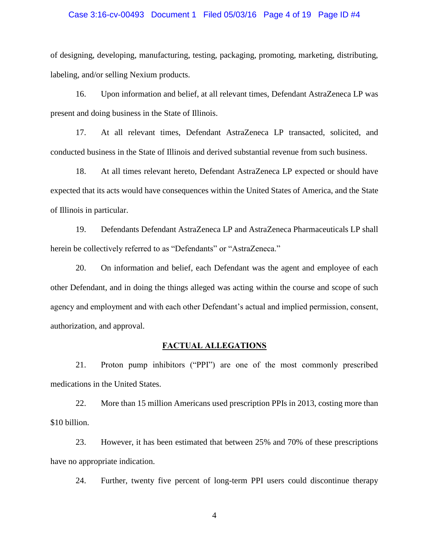### Case 3:16-cv-00493 Document 1 Filed 05/03/16 Page 4 of 19 Page ID #4

of designing, developing, manufacturing, testing, packaging, promoting, marketing, distributing, labeling, and/or selling Nexium products.

16. Upon information and belief, at all relevant times, Defendant AstraZeneca LP was present and doing business in the State of Illinois.

17. At all relevant times, Defendant AstraZeneca LP transacted, solicited, and conducted business in the State of Illinois and derived substantial revenue from such business.

18. At all times relevant hereto, Defendant AstraZeneca LP expected or should have expected that its acts would have consequences within the United States of America, and the State of Illinois in particular.

19. Defendants Defendant AstraZeneca LP and AstraZeneca Pharmaceuticals LP shall herein be collectively referred to as "Defendants" or "AstraZeneca."

20. On information and belief, each Defendant was the agent and employee of each other Defendant, and in doing the things alleged was acting within the course and scope of such agency and employment and with each other Defendant's actual and implied permission, consent, authorization, and approval.

### **FACTUAL ALLEGATIONS**

21. Proton pump inhibitors ("PPI") are one of the most commonly prescribed medications in the United States.

22. More than 15 million Americans used prescription PPIs in 2013, costing more than \$10 billion.

23. However, it has been estimated that between 25% and 70% of these prescriptions have no appropriate indication.

24. Further, twenty five percent of long-term PPI users could discontinue therapy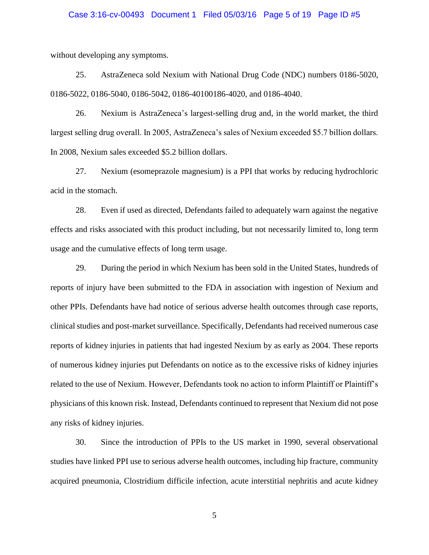### Case 3:16-cv-00493 Document 1 Filed 05/03/16 Page 5 of 19 Page ID #5

without developing any symptoms.

25. AstraZeneca sold Nexium with National Drug Code (NDC) numbers 0186-5020, 0186-5022, 0186-5040, 0186-5042, 0186-40100186-4020, and 0186-4040.

26. Nexium is AstraZeneca's largest-selling drug and, in the world market, the third largest selling drug overall. In 2005, AstraZeneca's sales of Nexium exceeded \$5.7 billion dollars. In 2008, Nexium sales exceeded \$5.2 billion dollars.

27. Nexium (esomeprazole magnesium) is a PPI that works by reducing hydrochloric acid in the stomach.

28. Even if used as directed, Defendants failed to adequately warn against the negative effects and risks associated with this product including, but not necessarily limited to, long term usage and the cumulative effects of long term usage.

29. During the period in which Nexium has been sold in the United States, hundreds of reports of injury have been submitted to the FDA in association with ingestion of Nexium and other PPIs. Defendants have had notice of serious adverse health outcomes through case reports, clinical studies and post-market surveillance. Specifically, Defendants had received numerous case reports of kidney injuries in patients that had ingested Nexium by as early as 2004. These reports of numerous kidney injuries put Defendants on notice as to the excessive risks of kidney injuries related to the use of Nexium. However, Defendants took no action to inform Plaintiff or Plaintiff's physicians of this known risk. Instead, Defendants continued to represent that Nexium did not pose any risks of kidney injuries.

30. Since the introduction of PPIs to the US market in 1990, several observational studies have linked PPI use to serious adverse health outcomes, including hip fracture, community acquired pneumonia, Clostridium difficile infection, acute interstitial nephritis and acute kidney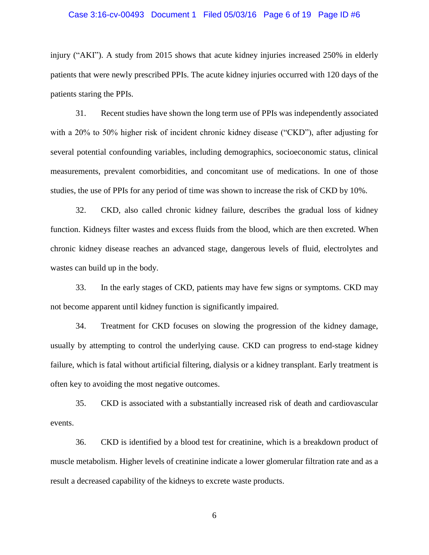### Case 3:16-cv-00493 Document 1 Filed 05/03/16 Page 6 of 19 Page ID #6

injury ("AKI"). A study from 2015 shows that acute kidney injuries increased 250% in elderly patients that were newly prescribed PPIs. The acute kidney injuries occurred with 120 days of the patients staring the PPIs.

31. Recent studies have shown the long term use of PPIs was independently associated with a 20% to 50% higher risk of incident chronic kidney disease ("CKD"), after adjusting for several potential confounding variables, including demographics, socioeconomic status, clinical measurements, prevalent comorbidities, and concomitant use of medications. In one of those studies, the use of PPIs for any period of time was shown to increase the risk of CKD by 10%.

32. CKD, also called chronic kidney failure, describes the gradual loss of kidney function. Kidneys filter wastes and excess fluids from the blood, which are then excreted. When chronic kidney disease reaches an advanced stage, dangerous levels of fluid, electrolytes and wastes can build up in the body.

33. In the early stages of CKD, patients may have few signs or symptoms. CKD may not become apparent until kidney function is significantly impaired.

34. Treatment for CKD focuses on slowing the progression of the kidney damage, usually by attempting to control the underlying cause. CKD can progress to end-stage kidney failure, which is fatal without artificial filtering, dialysis or a kidney transplant. Early treatment is often key to avoiding the most negative outcomes.

35. CKD is associated with a substantially increased risk of death and cardiovascular events.

36. CKD is identified by a blood test for creatinine, which is a breakdown product of muscle metabolism. Higher levels of creatinine indicate a lower glomerular filtration rate and as a result a decreased capability of the kidneys to excrete waste products.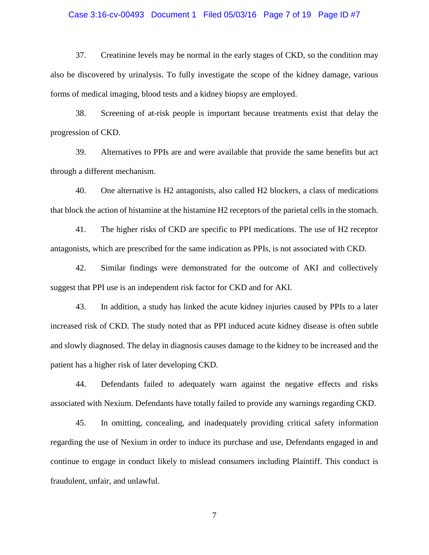### Case 3:16-cv-00493 Document 1 Filed 05/03/16 Page 7 of 19 Page ID #7

37. Creatinine levels may be normal in the early stages of CKD, so the condition may also be discovered by urinalysis. To fully investigate the scope of the kidney damage, various forms of medical imaging, blood tests and a kidney biopsy are employed.

38. Screening of at-risk people is important because treatments exist that delay the progression of CKD.

39. Alternatives to PPIs are and were available that provide the same benefits but act through a different mechanism.

40. One alternative is H2 antagonists, also called H2 blockers, a class of medications that block the action of histamine at the histamine H2 receptors of the parietal cells in the stomach.

41. The higher risks of CKD are specific to PPI medications. The use of H2 receptor antagonists, which are prescribed for the same indication as PPIs, is not associated with CKD.

42. Similar findings were demonstrated for the outcome of AKI and collectively suggest that PPI use is an independent risk factor for CKD and for AKI.

43. In addition, a study has linked the acute kidney injuries caused by PPIs to a later increased risk of CKD. The study noted that as PPI induced acute kidney disease is often subtle and slowly diagnosed. The delay in diagnosis causes damage to the kidney to be increased and the patient has a higher risk of later developing CKD.

44. Defendants failed to adequately warn against the negative effects and risks associated with Nexium. Defendants have totally failed to provide any warnings regarding CKD.

45. In omitting, concealing, and inadequately providing critical safety information regarding the use of Nexium in order to induce its purchase and use, Defendants engaged in and continue to engage in conduct likely to mislead consumers including Plaintiff. This conduct is fraudulent, unfair, and unlawful.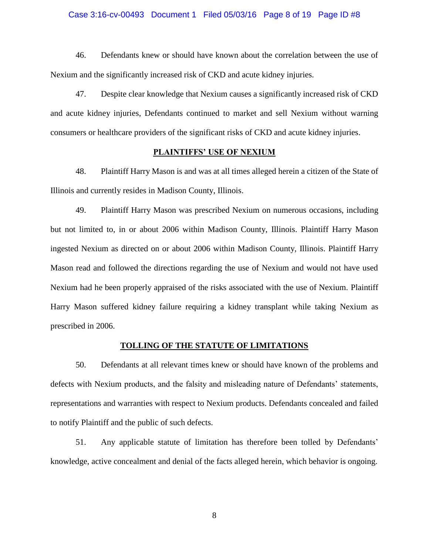### Case 3:16-cv-00493 Document 1 Filed 05/03/16 Page 8 of 19 Page ID #8

46. Defendants knew or should have known about the correlation between the use of Nexium and the significantly increased risk of CKD and acute kidney injuries.

47. Despite clear knowledge that Nexium causes a significantly increased risk of CKD and acute kidney injuries, Defendants continued to market and sell Nexium without warning consumers or healthcare providers of the significant risks of CKD and acute kidney injuries.

### **PLAINTIFFS' USE OF NEXIUM**

48. Plaintiff Harry Mason is and was at all times alleged herein a citizen of the State of Illinois and currently resides in Madison County, Illinois.

49. Plaintiff Harry Mason was prescribed Nexium on numerous occasions, including but not limited to, in or about 2006 within Madison County, Illinois. Plaintiff Harry Mason ingested Nexium as directed on or about 2006 within Madison County, Illinois. Plaintiff Harry Mason read and followed the directions regarding the use of Nexium and would not have used Nexium had he been properly appraised of the risks associated with the use of Nexium. Plaintiff Harry Mason suffered kidney failure requiring a kidney transplant while taking Nexium as prescribed in 2006.

#### **TOLLING OF THE STATUTE OF LIMITATIONS**

50. Defendants at all relevant times knew or should have known of the problems and defects with Nexium products, and the falsity and misleading nature of Defendants' statements, representations and warranties with respect to Nexium products. Defendants concealed and failed to notify Plaintiff and the public of such defects.

51. Any applicable statute of limitation has therefore been tolled by Defendants' knowledge, active concealment and denial of the facts alleged herein, which behavior is ongoing.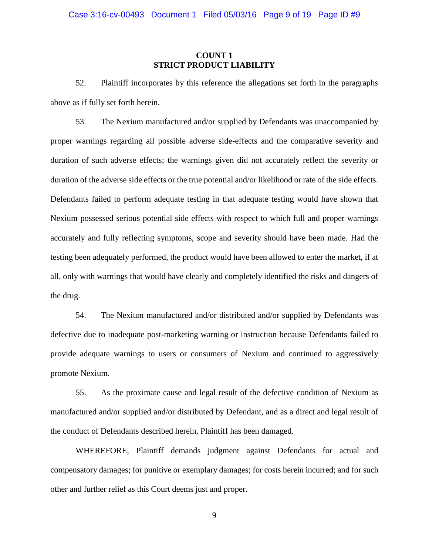### **COUNT 1 STRICT PRODUCT LIABILITY**

52. Plaintiff incorporates by this reference the allegations set forth in the paragraphs above as if fully set forth herein.

53. The Nexium manufactured and/or supplied by Defendants was unaccompanied by proper warnings regarding all possible adverse side-effects and the comparative severity and duration of such adverse effects; the warnings given did not accurately reflect the severity or duration of the adverse side effects or the true potential and/or likelihood or rate of the side effects. Defendants failed to perform adequate testing in that adequate testing would have shown that Nexium possessed serious potential side effects with respect to which full and proper warnings accurately and fully reflecting symptoms, scope and severity should have been made. Had the testing been adequately performed, the product would have been allowed to enter the market, if at all, only with warnings that would have clearly and completely identified the risks and dangers of the drug.

54. The Nexium manufactured and/or distributed and/or supplied by Defendants was defective due to inadequate post-marketing warning or instruction because Defendants failed to provide adequate warnings to users or consumers of Nexium and continued to aggressively promote Nexium.

55. As the proximate cause and legal result of the defective condition of Nexium as manufactured and/or supplied and/or distributed by Defendant, and as a direct and legal result of the conduct of Defendants described herein, Plaintiff has been damaged.

WHEREFORE, Plaintiff demands judgment against Defendants for actual and compensatory damages; for punitive or exemplary damages; for costs herein incurred; and for such other and further relief as this Court deems just and proper.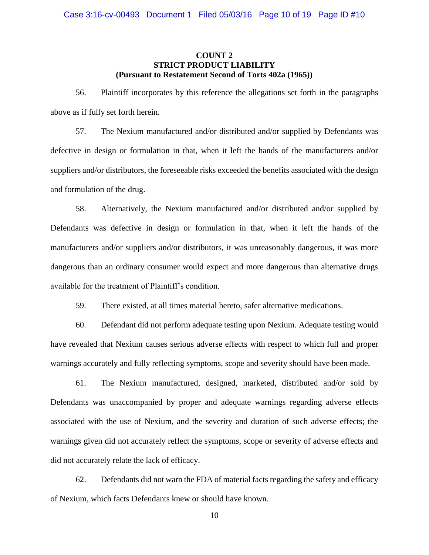### **COUNT 2 STRICT PRODUCT LIABILITY (Pursuant to Restatement Second of Torts 402a (1965))**

56. Plaintiff incorporates by this reference the allegations set forth in the paragraphs above as if fully set forth herein.

57. The Nexium manufactured and/or distributed and/or supplied by Defendants was defective in design or formulation in that, when it left the hands of the manufacturers and/or suppliers and/or distributors, the foreseeable risks exceeded the benefits associated with the design and formulation of the drug.

58. Alternatively, the Nexium manufactured and/or distributed and/or supplied by Defendants was defective in design or formulation in that, when it left the hands of the manufacturers and/or suppliers and/or distributors, it was unreasonably dangerous, it was more dangerous than an ordinary consumer would expect and more dangerous than alternative drugs available for the treatment of Plaintiff's condition.

59. There existed, at all times material hereto, safer alternative medications.

60. Defendant did not perform adequate testing upon Nexium. Adequate testing would have revealed that Nexium causes serious adverse effects with respect to which full and proper warnings accurately and fully reflecting symptoms, scope and severity should have been made.

61. The Nexium manufactured, designed, marketed, distributed and/or sold by Defendants was unaccompanied by proper and adequate warnings regarding adverse effects associated with the use of Nexium, and the severity and duration of such adverse effects; the warnings given did not accurately reflect the symptoms, scope or severity of adverse effects and did not accurately relate the lack of efficacy.

62. Defendants did not warn the FDA of material facts regarding the safety and efficacy of Nexium, which facts Defendants knew or should have known.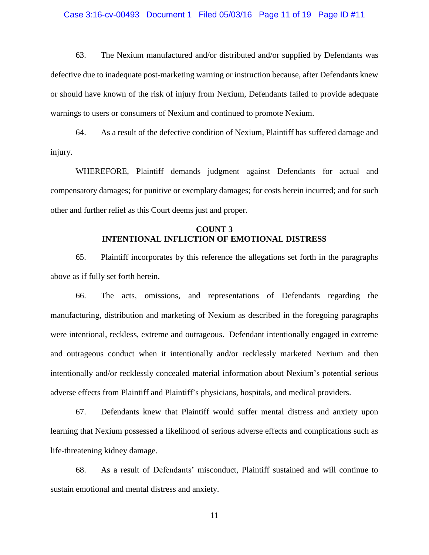### Case 3:16-cv-00493 Document 1 Filed 05/03/16 Page 11 of 19 Page ID #11

63. The Nexium manufactured and/or distributed and/or supplied by Defendants was defective due to inadequate post-marketing warning or instruction because, after Defendants knew or should have known of the risk of injury from Nexium, Defendants failed to provide adequate warnings to users or consumers of Nexium and continued to promote Nexium.

64. As a result of the defective condition of Nexium, Plaintiff has suffered damage and injury.

WHEREFORE, Plaintiff demands judgment against Defendants for actual and compensatory damages; for punitive or exemplary damages; for costs herein incurred; and for such other and further relief as this Court deems just and proper.

## **COUNT 3 INTENTIONAL INFLICTION OF EMOTIONAL DISTRESS**

65. Plaintiff incorporates by this reference the allegations set forth in the paragraphs above as if fully set forth herein.

66. The acts, omissions, and representations of Defendants regarding the manufacturing, distribution and marketing of Nexium as described in the foregoing paragraphs were intentional, reckless, extreme and outrageous. Defendant intentionally engaged in extreme and outrageous conduct when it intentionally and/or recklessly marketed Nexium and then intentionally and/or recklessly concealed material information about Nexium's potential serious adverse effects from Plaintiff and Plaintiff's physicians, hospitals, and medical providers.

67. Defendants knew that Plaintiff would suffer mental distress and anxiety upon learning that Nexium possessed a likelihood of serious adverse effects and complications such as life-threatening kidney damage.

68. As a result of Defendants' misconduct, Plaintiff sustained and will continue to sustain emotional and mental distress and anxiety.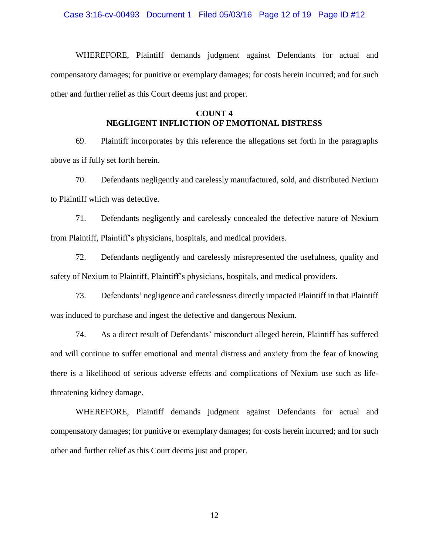### Case 3:16-cv-00493 Document 1 Filed 05/03/16 Page 12 of 19 Page ID #12

WHEREFORE, Plaintiff demands judgment against Defendants for actual and compensatory damages; for punitive or exemplary damages; for costs herein incurred; and for such other and further relief as this Court deems just and proper.

# **COUNT 4 NEGLIGENT INFLICTION OF EMOTIONAL DISTRESS**

69. Plaintiff incorporates by this reference the allegations set forth in the paragraphs above as if fully set forth herein.

70. Defendants negligently and carelessly manufactured, sold, and distributed Nexium to Plaintiff which was defective.

71. Defendants negligently and carelessly concealed the defective nature of Nexium from Plaintiff, Plaintiff's physicians, hospitals, and medical providers.

72. Defendants negligently and carelessly misrepresented the usefulness, quality and safety of Nexium to Plaintiff, Plaintiff's physicians, hospitals, and medical providers.

73. Defendants' negligence and carelessness directly impacted Plaintiff in that Plaintiff was induced to purchase and ingest the defective and dangerous Nexium.

74. As a direct result of Defendants' misconduct alleged herein, Plaintiff has suffered and will continue to suffer emotional and mental distress and anxiety from the fear of knowing there is a likelihood of serious adverse effects and complications of Nexium use such as lifethreatening kidney damage.

WHEREFORE, Plaintiff demands judgment against Defendants for actual and compensatory damages; for punitive or exemplary damages; for costs herein incurred; and for such other and further relief as this Court deems just and proper.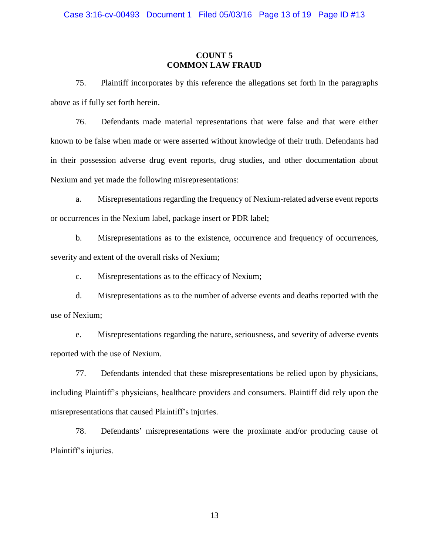### **COUNT 5 COMMON LAW FRAUD**

75. Plaintiff incorporates by this reference the allegations set forth in the paragraphs above as if fully set forth herein.

76. Defendants made material representations that were false and that were either known to be false when made or were asserted without knowledge of their truth. Defendants had in their possession adverse drug event reports, drug studies, and other documentation about Nexium and yet made the following misrepresentations:

a. Misrepresentations regarding the frequency of Nexium-related adverse event reports or occurrences in the Nexium label, package insert or PDR label;

b. Misrepresentations as to the existence, occurrence and frequency of occurrences, severity and extent of the overall risks of Nexium;

c. Misrepresentations as to the efficacy of Nexium;

d. Misrepresentations as to the number of adverse events and deaths reported with the use of Nexium;

e. Misrepresentations regarding the nature, seriousness, and severity of adverse events reported with the use of Nexium.

77. Defendants intended that these misrepresentations be relied upon by physicians, including Plaintiff's physicians, healthcare providers and consumers. Plaintiff did rely upon the misrepresentations that caused Plaintiff's injuries.

78. Defendants' misrepresentations were the proximate and/or producing cause of Plaintiff's injuries.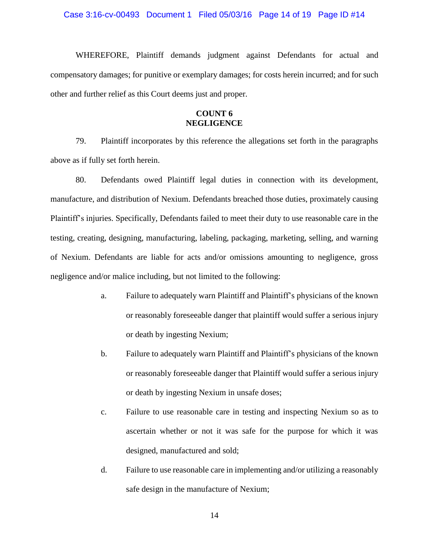### Case 3:16-cv-00493 Document 1 Filed 05/03/16 Page 14 of 19 Page ID #14

WHEREFORE, Plaintiff demands judgment against Defendants for actual and compensatory damages; for punitive or exemplary damages; for costs herein incurred; and for such other and further relief as this Court deems just and proper.

# **COUNT 6 NEGLIGENCE**

79. Plaintiff incorporates by this reference the allegations set forth in the paragraphs above as if fully set forth herein.

80. Defendants owed Plaintiff legal duties in connection with its development, manufacture, and distribution of Nexium. Defendants breached those duties, proximately causing Plaintiff's injuries. Specifically, Defendants failed to meet their duty to use reasonable care in the testing, creating, designing, manufacturing, labeling, packaging, marketing, selling, and warning of Nexium. Defendants are liable for acts and/or omissions amounting to negligence, gross negligence and/or malice including, but not limited to the following:

- a. Failure to adequately warn Plaintiff and Plaintiff's physicians of the known or reasonably foreseeable danger that plaintiff would suffer a serious injury or death by ingesting Nexium;
- b. Failure to adequately warn Plaintiff and Plaintiff's physicians of the known or reasonably foreseeable danger that Plaintiff would suffer a serious injury or death by ingesting Nexium in unsafe doses;
- c. Failure to use reasonable care in testing and inspecting Nexium so as to ascertain whether or not it was safe for the purpose for which it was designed, manufactured and sold;
- d. Failure to use reasonable care in implementing and/or utilizing a reasonably safe design in the manufacture of Nexium;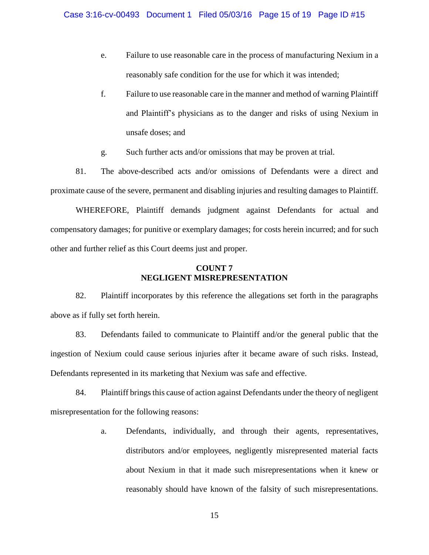- e. Failure to use reasonable care in the process of manufacturing Nexium in a reasonably safe condition for the use for which it was intended;
- f. Failure to use reasonable care in the manner and method of warning Plaintiff and Plaintiff's physicians as to the danger and risks of using Nexium in unsafe doses; and
- g. Such further acts and/or omissions that may be proven at trial.

81. The above-described acts and/or omissions of Defendants were a direct and proximate cause of the severe, permanent and disabling injuries and resulting damages to Plaintiff.

WHEREFORE, Plaintiff demands judgment against Defendants for actual and compensatory damages; for punitive or exemplary damages; for costs herein incurred; and for such other and further relief as this Court deems just and proper.

### **COUNT 7 NEGLIGENT MISREPRESENTATION**

82. Plaintiff incorporates by this reference the allegations set forth in the paragraphs above as if fully set forth herein.

83. Defendants failed to communicate to Plaintiff and/or the general public that the ingestion of Nexium could cause serious injuries after it became aware of such risks. Instead, Defendants represented in its marketing that Nexium was safe and effective.

84. Plaintiff brings this cause of action against Defendants under the theory of negligent misrepresentation for the following reasons:

> a. Defendants, individually, and through their agents, representatives, distributors and/or employees, negligently misrepresented material facts about Nexium in that it made such misrepresentations when it knew or reasonably should have known of the falsity of such misrepresentations.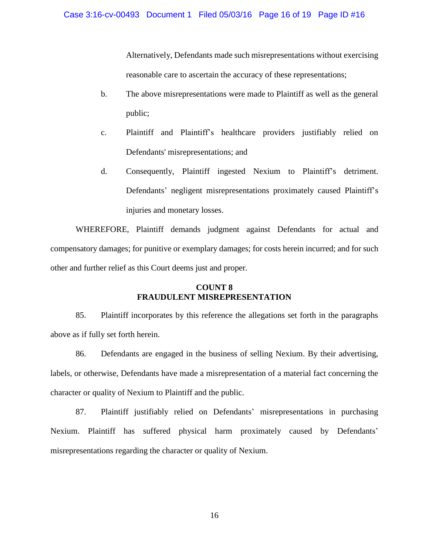Alternatively, Defendants made such misrepresentations without exercising reasonable care to ascertain the accuracy of these representations;

- b. The above misrepresentations were made to Plaintiff as well as the general public;
- c. Plaintiff and Plaintiff's healthcare providers justifiably relied on Defendants' misrepresentations; and
- d. Consequently, Plaintiff ingested Nexium to Plaintiff's detriment. Defendants' negligent misrepresentations proximately caused Plaintiff's injuries and monetary losses.

WHEREFORE, Plaintiff demands judgment against Defendants for actual and compensatory damages; for punitive or exemplary damages; for costs herein incurred; and for such other and further relief as this Court deems just and proper.

# **COUNT 8 FRAUDULENT MISREPRESENTATION**

85. Plaintiff incorporates by this reference the allegations set forth in the paragraphs above as if fully set forth herein.

86. Defendants are engaged in the business of selling Nexium. By their advertising, labels, or otherwise, Defendants have made a misrepresentation of a material fact concerning the character or quality of Nexium to Plaintiff and the public.

87. Plaintiff justifiably relied on Defendants' misrepresentations in purchasing Nexium. Plaintiff has suffered physical harm proximately caused by Defendants' misrepresentations regarding the character or quality of Nexium.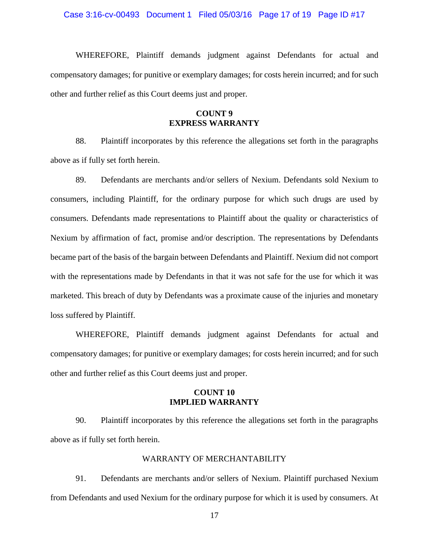### Case 3:16-cv-00493 Document 1 Filed 05/03/16 Page 17 of 19 Page ID #17

WHEREFORE, Plaintiff demands judgment against Defendants for actual and compensatory damages; for punitive or exemplary damages; for costs herein incurred; and for such other and further relief as this Court deems just and proper.

# **COUNT 9 EXPRESS WARRANTY**

88. Plaintiff incorporates by this reference the allegations set forth in the paragraphs above as if fully set forth herein.

89. Defendants are merchants and/or sellers of Nexium. Defendants sold Nexium to consumers, including Plaintiff, for the ordinary purpose for which such drugs are used by consumers. Defendants made representations to Plaintiff about the quality or characteristics of Nexium by affirmation of fact, promise and/or description. The representations by Defendants became part of the basis of the bargain between Defendants and Plaintiff. Nexium did not comport with the representations made by Defendants in that it was not safe for the use for which it was marketed. This breach of duty by Defendants was a proximate cause of the injuries and monetary loss suffered by Plaintiff.

WHEREFORE, Plaintiff demands judgment against Defendants for actual and compensatory damages; for punitive or exemplary damages; for costs herein incurred; and for such other and further relief as this Court deems just and proper.

# **COUNT 10 IMPLIED WARRANTY**

90. Plaintiff incorporates by this reference the allegations set forth in the paragraphs above as if fully set forth herein.

### WARRANTY OF MERCHANTABILITY

91. Defendants are merchants and/or sellers of Nexium. Plaintiff purchased Nexium from Defendants and used Nexium for the ordinary purpose for which it is used by consumers. At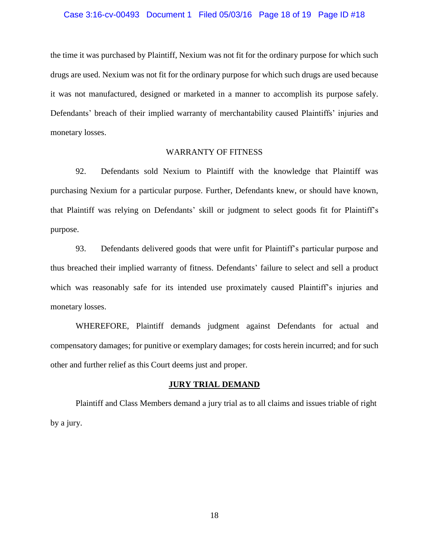### Case 3:16-cv-00493 Document 1 Filed 05/03/16 Page 18 of 19 Page ID #18

the time it was purchased by Plaintiff, Nexium was not fit for the ordinary purpose for which such drugs are used. Nexium was not fit for the ordinary purpose for which such drugs are used because it was not manufactured, designed or marketed in a manner to accomplish its purpose safely. Defendants' breach of their implied warranty of merchantability caused Plaintiffs' injuries and monetary losses.

# WARRANTY OF FITNESS

92. Defendants sold Nexium to Plaintiff with the knowledge that Plaintiff was purchasing Nexium for a particular purpose. Further, Defendants knew, or should have known, that Plaintiff was relying on Defendants' skill or judgment to select goods fit for Plaintiff's purpose.

93. Defendants delivered goods that were unfit for Plaintiff's particular purpose and thus breached their implied warranty of fitness. Defendants' failure to select and sell a product which was reasonably safe for its intended use proximately caused Plaintiff's injuries and monetary losses.

WHEREFORE, Plaintiff demands judgment against Defendants for actual and compensatory damages; for punitive or exemplary damages; for costs herein incurred; and for such other and further relief as this Court deems just and proper.

### **JURY TRIAL DEMAND**

Plaintiff and Class Members demand a jury trial as to all claims and issues triable of right by a jury.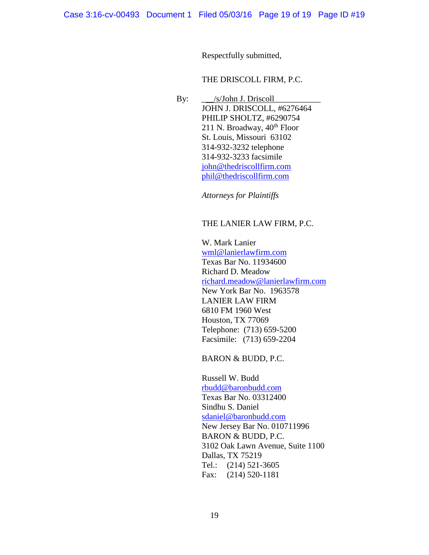Respectfully submitted,

### THE DRISCOLL FIRM, P.C.

By: \_\_\_\_/s/John J. Driscoll\_ JOHN J. DRISCOLL, #6276464 PHILIP SHOLTZ, #6290754 211 N. Broadway,  $40^{th}$  Floor St. Louis, Missouri 63102 314-932-3232 telephone 314-932-3233 facsimile [john@thedriscollfirm.com](mailto:john@thedriscollfirm.com) [phil@thedriscollfirm.com](mailto:phil@thedriscollfirm.com)

*Attorneys for Plaintiffs*

### THE LANIER LAW FIRM, P.C.

W. Mark Lanier [wml@lanierlawfirm.com](mailto:wml@lanierlawfirm.com) Texas Bar No. 11934600 Richard D. Meadow [richard.meadow@lanierlawfirm.com](mailto:richard.meadow@lanierlawfirm.com) New York Bar No. 1963578 LANIER LAW FIRM 6810 FM 1960 West Houston, TX 77069 Telephone: (713) 659-5200 Facsimile: (713) 659-2204

BARON & BUDD, P.C.

Russell W. Budd [rbudd@baronbudd.com](mailto:rbudd@baronbudd.com) Texas Bar No. 03312400 Sindhu S. Daniel [sdaniel@baronbudd.com](mailto:sdaniel@baronbudd.com) New Jersey Bar No. 010711996 BARON & BUDD, P.C. 3102 Oak Lawn Avenue, Suite 1100 Dallas, TX 75219 Tel.: (214) 521-3605 Fax: (214) 520-1181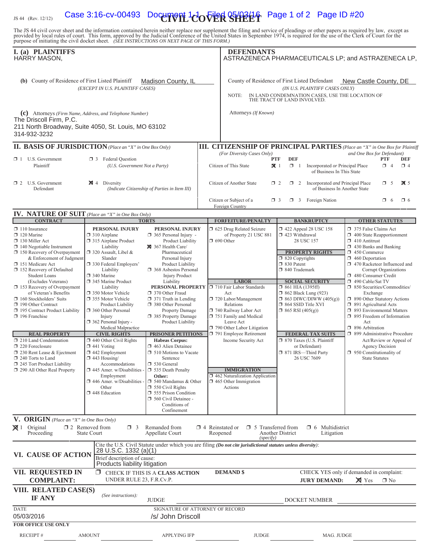# IS 44 (Rev. 12/12) Case 3:16-cv-00493 Doc<del>ument</del> 1 Cover SHEET Page 1 of 2 Page ID #20

The JS 44 civil cover sheet and the information contained herein neither replace nor supplement the filing and service of pleadings or other papers as required by law, except as provided by local rules of court. This form,

| I. (a) PLAINTIFFS<br>HARRY MASON,                                                                                                                                                                                                                                                                                                                                                                                                                                                                                                                                                                                           |                                                                                                                                                                                                                                                                                                                                                                                                                                                                                                                                                                                                                                       |                                                                                                                                                                                                                                                                                                                                                                                                                                                                                                                                                                                                                                                                      |                                                                                                                                                                                                                                                                                                                                                                                                                                         | <b>DEFENDANTS</b><br>ASTRAZENECA PHARMACEUTICALS LP; and ASTRAZENECA LP,                                                                                                                                                                                                                                                                                                                                                                |                                                                                                                                                                                                                                                                                                                                                                                                                                                                                                                                                                                                                    |  |  |
|-----------------------------------------------------------------------------------------------------------------------------------------------------------------------------------------------------------------------------------------------------------------------------------------------------------------------------------------------------------------------------------------------------------------------------------------------------------------------------------------------------------------------------------------------------------------------------------------------------------------------------|---------------------------------------------------------------------------------------------------------------------------------------------------------------------------------------------------------------------------------------------------------------------------------------------------------------------------------------------------------------------------------------------------------------------------------------------------------------------------------------------------------------------------------------------------------------------------------------------------------------------------------------|----------------------------------------------------------------------------------------------------------------------------------------------------------------------------------------------------------------------------------------------------------------------------------------------------------------------------------------------------------------------------------------------------------------------------------------------------------------------------------------------------------------------------------------------------------------------------------------------------------------------------------------------------------------------|-----------------------------------------------------------------------------------------------------------------------------------------------------------------------------------------------------------------------------------------------------------------------------------------------------------------------------------------------------------------------------------------------------------------------------------------|-----------------------------------------------------------------------------------------------------------------------------------------------------------------------------------------------------------------------------------------------------------------------------------------------------------------------------------------------------------------------------------------------------------------------------------------|--------------------------------------------------------------------------------------------------------------------------------------------------------------------------------------------------------------------------------------------------------------------------------------------------------------------------------------------------------------------------------------------------------------------------------------------------------------------------------------------------------------------------------------------------------------------------------------------------------------------|--|--|
| (b) County of Residence of First Listed Plaintiff<br>Madison County, IL<br>(EXCEPT IN U.S. PLAINTIFF CASES)                                                                                                                                                                                                                                                                                                                                                                                                                                                                                                                 |                                                                                                                                                                                                                                                                                                                                                                                                                                                                                                                                                                                                                                       |                                                                                                                                                                                                                                                                                                                                                                                                                                                                                                                                                                                                                                                                      | NOTE:                                                                                                                                                                                                                                                                                                                                                                                                                                   | County of Residence of First Listed Defendant<br>New Castle County, DE<br>(IN U.S. PLAINTIFF CASES ONLY)<br>IN LAND CONDEMNATION CASES, USE THE LOCATION OF<br>THE TRACT OF LAND INVOLVED.                                                                                                                                                                                                                                              |                                                                                                                                                                                                                                                                                                                                                                                                                                                                                                                                                                                                                    |  |  |
| (c) Attorneys (Firm Name, Address, and Telephone Number)<br>The Driscoll Firm, P.C.<br>211 North Broadway, Suite 4050, St. Louis, MO 63102<br>314-932-3232                                                                                                                                                                                                                                                                                                                                                                                                                                                                  |                                                                                                                                                                                                                                                                                                                                                                                                                                                                                                                                                                                                                                       |                                                                                                                                                                                                                                                                                                                                                                                                                                                                                                                                                                                                                                                                      | Attorneys (If Known)                                                                                                                                                                                                                                                                                                                                                                                                                    |                                                                                                                                                                                                                                                                                                                                                                                                                                         |                                                                                                                                                                                                                                                                                                                                                                                                                                                                                                                                                                                                                    |  |  |
| <b>II. BASIS OF JURISDICTION</b> (Place an "X" in One Box Only)                                                                                                                                                                                                                                                                                                                                                                                                                                                                                                                                                             |                                                                                                                                                                                                                                                                                                                                                                                                                                                                                                                                                                                                                                       |                                                                                                                                                                                                                                                                                                                                                                                                                                                                                                                                                                                                                                                                      |                                                                                                                                                                                                                                                                                                                                                                                                                                         |                                                                                                                                                                                                                                                                                                                                                                                                                                         | <b>III. CITIZENSHIP OF PRINCIPAL PARTIES</b> (Place an "X" in One Box for Plaintiff                                                                                                                                                                                                                                                                                                                                                                                                                                                                                                                                |  |  |
| $\Box$ 1 U.S. Government<br>Plaintiff                                                                                                                                                                                                                                                                                                                                                                                                                                                                                                                                                                                       | $\Box$ 3 Federal Question<br>(U.S. Government Not a Party)                                                                                                                                                                                                                                                                                                                                                                                                                                                                                                                                                                            |                                                                                                                                                                                                                                                                                                                                                                                                                                                                                                                                                                                                                                                                      | (For Diversity Cases Only)<br>Citizen of This State                                                                                                                                                                                                                                                                                                                                                                                     | <b>DEF</b><br><b>PTF</b><br>X <sub>1</sub><br>$\Box$ 1<br>Incorporated or Principal Place<br>of Business In This State                                                                                                                                                                                                                                                                                                                  | and One Box for Defendant)<br><b>PTF</b><br><b>DEF</b><br>$\Box$ 4<br>$\Box$ 4                                                                                                                                                                                                                                                                                                                                                                                                                                                                                                                                     |  |  |
| $\Box$ 2 U.S. Government<br>Defendant                                                                                                                                                                                                                                                                                                                                                                                                                                                                                                                                                                                       | $\boxtimes$ 4 Diversity                                                                                                                                                                                                                                                                                                                                                                                                                                                                                                                                                                                                               | (Indicate Citizenship of Parties in Item III)                                                                                                                                                                                                                                                                                                                                                                                                                                                                                                                                                                                                                        | Citizen of Another State                                                                                                                                                                                                                                                                                                                                                                                                                | $\Box$ 2<br>$\Box$ 2 Incorporated <i>and</i> Principal Place<br>of Business In Another State                                                                                                                                                                                                                                                                                                                                            | $\overline{\mathbf{X}}$ 5<br>$\Box$ 5                                                                                                                                                                                                                                                                                                                                                                                                                                                                                                                                                                              |  |  |
|                                                                                                                                                                                                                                                                                                                                                                                                                                                                                                                                                                                                                             |                                                                                                                                                                                                                                                                                                                                                                                                                                                                                                                                                                                                                                       |                                                                                                                                                                                                                                                                                                                                                                                                                                                                                                                                                                                                                                                                      | Citizen or Subject of a<br>Foreign Country                                                                                                                                                                                                                                                                                                                                                                                              | $\Box$ 3 Foreign Nation<br>$\Box$ 3                                                                                                                                                                                                                                                                                                                                                                                                     | $\Box$ 6<br>$\Box$ 6                                                                                                                                                                                                                                                                                                                                                                                                                                                                                                                                                                                               |  |  |
| <b>IV. NATURE OF SUIT</b> (Place an "X" in One Box Only)<br><b>CONTRACT</b>                                                                                                                                                                                                                                                                                                                                                                                                                                                                                                                                                 |                                                                                                                                                                                                                                                                                                                                                                                                                                                                                                                                                                                                                                       | <b>TORTS</b>                                                                                                                                                                                                                                                                                                                                                                                                                                                                                                                                                                                                                                                         | <b>FORFEITURE/PENALTY</b>                                                                                                                                                                                                                                                                                                                                                                                                               | <b>BANKRUPTCY</b>                                                                                                                                                                                                                                                                                                                                                                                                                       | <b>OTHER STATUTES</b>                                                                                                                                                                                                                                                                                                                                                                                                                                                                                                                                                                                              |  |  |
| $\Box$ 110 Insurance<br>$\Box$ 120 Marine<br>130 Miller Act<br>$\Box$ 140 Negotiable Instrument<br>150 Recovery of Overpayment<br>& Enforcement of Judgment<br>151 Medicare Act<br>152 Recovery of Defaulted<br><b>Student Loans</b><br>(Excludes Veterans)<br>153 Recovery of Overpayment<br>of Veteran's Benefits<br>$\Box$ 160 Stockholders' Suits<br>190 Other Contract<br>195 Contract Product Liability<br>$\Box$ 196 Franchise<br><b>REAL PROPERTY</b><br>210 Land Condemnation<br>220 Foreclosure<br>□ 230 Rent Lease & Ejectment<br>240 Torts to Land<br>245 Tort Product Liability<br>290 All Other Real Property | PERSONAL INJURY<br>$\Box$ 310 Airplane<br>□ 315 Airplane Product<br>Liability<br>$\Box$ 320 Assault, Libel &<br>Slander<br>□ 330 Federal Employers'<br>Liability<br>340 Marine<br>345 Marine Product<br>Liability<br>□ 350 Motor Vehicle<br>□ 355 Motor Vehicle<br><b>Product Liability</b><br>360 Other Personal<br>Injury<br>$\Box$ 362 Personal Injury -<br>Medical Malpractice<br><b>CIVIL RIGHTS</b><br>$\Box$ 440 Other Civil Rights<br>$\Box$ 441 Voting<br>442 Employment<br>$\Box$ 443 Housing/<br>Accommodations<br>$\Box$ 445 Amer. w/Disabilities -<br>Employment<br>446 Amer. w/Disabilities -<br>Other<br>448 Education | PERSONAL INJURY<br>$\Box$ 365 Personal Injury -<br>Product Liability<br>367 Health Care/<br>Pharmaceutical<br>Personal Injury<br>Product Liability<br>368 Asbestos Personal<br><b>Injury Product</b><br>Liability<br>370 Other Fraud<br>$\Box$ 371 Truth in Lending<br>380 Other Personal<br><b>Property Damage</b><br>385 Property Damage<br>Product Liability<br><b>PRISONER PETITIONS</b><br><b>Habeas Corpus:</b><br>1 463 Alien Detainee<br>$\Box$ 510 Motions to Vacate<br>Sentence<br>□ 530 General<br>535 Death Penalty<br>Other:<br>$\Box$ 540 Mandamus & Other<br>$\Box$ 550 Civil Rights<br>555 Prison Condition<br>560 Civil Detainee -<br>Conditions of | □ 625 Drug Related Seizure<br>of Property 21 USC 881<br>$\Box$ 690 Other<br><b>LABOR</b><br>PERSONAL PROPERTY J 710 Fair Labor Standards<br>Act<br>720 Labor/Management<br>Relations<br>740 Railway Labor Act<br>751 Family and Medical<br>Leave Act<br>790 Other Labor Litigation<br>791 Employee Retirement<br>Income Security Act<br><b>IMMIGRATION</b><br>462 Naturalization Application<br>$\Box$ 465 Other Immigration<br>Actions | 1422 Appeal 28 USC 158<br>1 423 Withdrawal<br>28 USC 157<br><b>PROPERTY RIGHTS</b><br>□ 820 Copyrights<br>□ 830 Patent<br>□ 840 Trademark<br><b>SOCIAL SECURITY</b><br>$\Box$ 861 HIA (1395ff)<br><b>1</b> 862 Black Lung (923)<br>$\Box$ 863 DIWC/DIWW (405(g))<br>□ 864 SSID Title XVI<br>$\Box$ 865 RSI (405(g))<br><b>FEDERAL TAX SUITS</b><br>□ 870 Taxes (U.S. Plaintiff<br>or Defendant)<br>□ 871 IRS-Third Party<br>26 USC 7609 | 375 False Claims Act<br>$\Box$ 400 State Reapportionment<br>$\Box$ 410 Antitrust<br>$\Box$ 430 Banks and Banking<br>450 Commerce<br>$\Box$ 460 Deportation<br>470 Racketeer Influenced and<br>Corrupt Organizations<br>480 Consumer Credit<br>490 Cable/Sat TV<br>50 Securities/Commodities/<br>Exchange<br>1 890 Other Statutory Actions<br>□ 891 Agricultural Acts<br>□ 893 Environmental Matters<br>1 895 Freedom of Information<br>Act<br>□ 896 Arbitration<br>□ 899 Administrative Procedure<br>Act/Review or Appeal of<br><b>Agency Decision</b><br>$\Box$ 950 Constitutionality of<br><b>State Statutes</b> |  |  |
| V. ORIGIN (Place an "X" in One Box Only)                                                                                                                                                                                                                                                                                                                                                                                                                                                                                                                                                                                    |                                                                                                                                                                                                                                                                                                                                                                                                                                                                                                                                                                                                                                       | Confinement                                                                                                                                                                                                                                                                                                                                                                                                                                                                                                                                                                                                                                                          |                                                                                                                                                                                                                                                                                                                                                                                                                                         |                                                                                                                                                                                                                                                                                                                                                                                                                                         |                                                                                                                                                                                                                                                                                                                                                                                                                                                                                                                                                                                                                    |  |  |
| $\boxtimes$ 1 Original<br>Proceeding                                                                                                                                                                                                                                                                                                                                                                                                                                                                                                                                                                                        | $\square$ 2 Removed from<br>$\Box$ 3<br><b>State Court</b>                                                                                                                                                                                                                                                                                                                                                                                                                                                                                                                                                                            | Remanded from<br>Appellate Court                                                                                                                                                                                                                                                                                                                                                                                                                                                                                                                                                                                                                                     | $\Box$ 4 Reinstated or $\Box$ 5 Transferred from<br>Reopened<br>(specify)                                                                                                                                                                                                                                                                                                                                                               | $\Box$ 6 Multidistrict<br>Another District<br>Litigation                                                                                                                                                                                                                                                                                                                                                                                |                                                                                                                                                                                                                                                                                                                                                                                                                                                                                                                                                                                                                    |  |  |
| VI. CAUSE OF ACTION                                                                                                                                                                                                                                                                                                                                                                                                                                                                                                                                                                                                         | 28 U.S.C. 1332 (a)(1)<br>Brief description of cause:<br>Products liability litigation                                                                                                                                                                                                                                                                                                                                                                                                                                                                                                                                                 |                                                                                                                                                                                                                                                                                                                                                                                                                                                                                                                                                                                                                                                                      | Cite the U.S. Civil Statute under which you are filing (Do not cite jurisdictional statutes unless diversity):                                                                                                                                                                                                                                                                                                                          |                                                                                                                                                                                                                                                                                                                                                                                                                                         |                                                                                                                                                                                                                                                                                                                                                                                                                                                                                                                                                                                                                    |  |  |
| VII. REQUESTED IN<br><b>COMPLAINT:</b>                                                                                                                                                                                                                                                                                                                                                                                                                                                                                                                                                                                      | UNDER RULE 23, F.R.Cv.P.                                                                                                                                                                                                                                                                                                                                                                                                                                                                                                                                                                                                              | $\Box$ CHECK IF THIS IS A CLASS ACTION                                                                                                                                                                                                                                                                                                                                                                                                                                                                                                                                                                                                                               | <b>DEMAND \$</b>                                                                                                                                                                                                                                                                                                                                                                                                                        | <b>JURY DEMAND:</b>                                                                                                                                                                                                                                                                                                                                                                                                                     | CHECK YES only if demanded in complaint:<br>$\times$ Yes<br>$\Box$ No                                                                                                                                                                                                                                                                                                                                                                                                                                                                                                                                              |  |  |
| VIII. RELATED CASE(S)<br><b>IF ANY</b>                                                                                                                                                                                                                                                                                                                                                                                                                                                                                                                                                                                      | (See instructions):                                                                                                                                                                                                                                                                                                                                                                                                                                                                                                                                                                                                                   | <b>JUDGE</b>                                                                                                                                                                                                                                                                                                                                                                                                                                                                                                                                                                                                                                                         |                                                                                                                                                                                                                                                                                                                                                                                                                                         | DOCKET NUMBER                                                                                                                                                                                                                                                                                                                                                                                                                           |                                                                                                                                                                                                                                                                                                                                                                                                                                                                                                                                                                                                                    |  |  |
| <b>DATE</b><br>05/03/2016<br><b>FOR OFFICE USE ONLY</b>                                                                                                                                                                                                                                                                                                                                                                                                                                                                                                                                                                     |                                                                                                                                                                                                                                                                                                                                                                                                                                                                                                                                                                                                                                       | SIGNATURE OF ATTORNEY OF RECORD<br>/s/ John Driscoll                                                                                                                                                                                                                                                                                                                                                                                                                                                                                                                                                                                                                 |                                                                                                                                                                                                                                                                                                                                                                                                                                         |                                                                                                                                                                                                                                                                                                                                                                                                                                         |                                                                                                                                                                                                                                                                                                                                                                                                                                                                                                                                                                                                                    |  |  |
| <b>RECEIPT#</b>                                                                                                                                                                                                                                                                                                                                                                                                                                                                                                                                                                                                             | <b>AMOUNT</b>                                                                                                                                                                                                                                                                                                                                                                                                                                                                                                                                                                                                                         | <b>APPLYING IFP</b>                                                                                                                                                                                                                                                                                                                                                                                                                                                                                                                                                                                                                                                  | <b>JUDGE</b>                                                                                                                                                                                                                                                                                                                                                                                                                            | MAG. JUDGE                                                                                                                                                                                                                                                                                                                                                                                                                              |                                                                                                                                                                                                                                                                                                                                                                                                                                                                                                                                                                                                                    |  |  |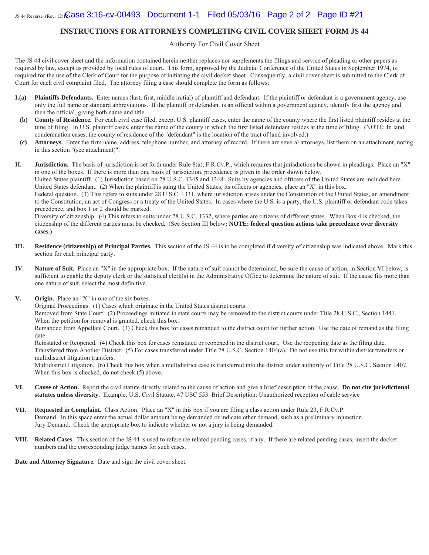### **INSTRUCTIONS FOR ATTORNEYS COMPLETING CIVIL COVER SHEET FORM JS 44**

Authority For Civil Cover Sheet

The JS 44 civil cover sheet and the information contained herein neither replaces nor supplements the filings and service of pleading or other papers as required by law, except as provided by local rules of court. This form, approved by the Judicial Conference of the United States in September 1974, is required for the use of the Clerk of Court for the purpose of initiating the civil docket sheet. Consequently, a civil cover sheet is submitted to the Clerk of Court for each civil complaint filed. The attorney filing a case should complete the form as follows:

- **I.(a)** Plaintiffs-Defendants. Enter names (last, first, middle initial) of plaintiff and defendant. If the plaintiff or defendant is a government agency, use only the full name or standard abbreviations. If the plaintiff or defendant is an official within a government agency, identify first the agency and then the official, giving both name and title.
- (b) County of Residence. For each civil case filed, except U.S. plaintiff cases, enter the name of the county where the first listed plaintiff resides at the time of filing. In U.S. plaintiff cases, enter the name of the county in which the first listed defendant resides at the time of filing. (NOTE: In land condemnation cases, the county of residence of the "defendant" is the location of the tract of land involved.)
- (c) Attorneys. Enter the firm name, address, telephone number, and attorney of record. If there are several attorneys, list them on an attachment, noting in this section "(see attachment)".

**II.** Jurisdiction. The basis of jurisdiction is set forth under Rule 8(a), F.R.Cv.P., which requires that jurisdictions be shown in pleadings. Place an "X" in one of the boxes. If there is more than one basis of jurisdiction, precedence is given in the order shown below. United States plaintiff. (1) Jurisdiction based on 28 U.S.C. 1345 and 1348. Suits by agencies and officers of the United States are included here. United States defendant. (2) When the plaintiff is suing the United States, its officers or agencies, place an "X" in this box. Federal question. (3) This refers to suits under 28 U.S.C. 1331, where jurisdiction arises under the Constitution of the United States, an amendment to the Constitution, an act of Congress or a treaty of the United States. In cases where the U.S. is a party, the U.S. plaintiff or defendant code takes

precedence, and box 1 or 2 should be marked.

Diversity of citizenship. (4) This refers to suits under 28 U.S.C. 1332, where parties are citizens of different states. When Box 4 is checked, the citizenship of the different parties must be checked. (See Section III below; NOTE: federal question actions take precedence over diversity **cases.** 

- **III.** Residence (citizenship) of Principal Parties. This section of the JS 44 is to be completed if diversity of citizenship was indicated above. Mark this section for each principal party.
- **IV.** Nature of Suit. Place an "X" in the appropriate box. If the nature of suit cannot be determined, be sure the cause of action, in Section VI below, is sufficient to enable the deputy clerk or the statistical clerk(s) in the Administrative Office to determine the nature of suit. If the cause fits more than one nature of suit, select the most definitive.
- **V.** Origin. Place an "X" in one of the six boxes.

Original Proceedings. (1) Cases which originate in the United States district courts.

Removed from State Court. (2) Proceedings initiated in state courts may be removed to the district courts under Title 28 U.S.C., Section 1441. When the petition for removal is granted, check this box.

Remanded from Appellate Court. (3) Check this box for cases remanded to the district court for further action. Use the date of remand as the filing date

Reinstated or Reopened. (4) Check this box for cases reinstated or reopened in the district court. Use the reopening date as the filing date. Transferred from Another District. (5) For cases transferred under Title 28 U.S.C. Section 1404(a). Do not use this for within district transfers or multidistrict litigation transfers.

Multidistrict Litigation. (6) Check this box when a multidistrict case is transferred into the district under authority of Title 28 U.S.C. Section 1407. When this box is checked, do not check  $(5)$  above.

- VI. Cause of Action. Report the civil statute directly related to the cause of action and give a brief description of the cause. Do not cite jurisdictional statutes unless diversity. Example: U.S. Civil Statute: 47 USC 553 Brief Description: Unauthorized reception of cable service
- **VII.** Requested in Complaint. Class Action. Place an "X" in this box if you are filing a class action under Rule 23, F.R.Cv.P. Demand. In this space enter the actual dollar amount being demanded or indicate other demand, such as a preliminary injunction. Jury Demand. Check the appropriate box to indicate whether or not a jury is being demanded.
- VIII. Related Cases. This section of the JS 44 is used to reference related pending cases, if any. If there are related pending cases, insert the docket numbers and the corresponding judge names for such cases.

Date and Attorney Signature. Date and sign the civil cover sheet.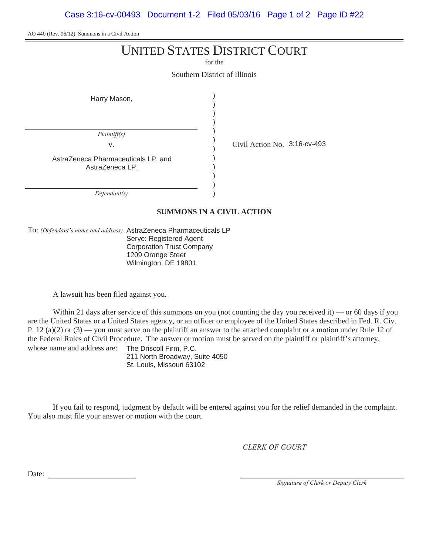Case 3:16-cv-00493 Document 1-2 Filed 05/03/16 Page 1 of 2 Page ID #22

AO 440 (Rev. 06/12) Summons in a Civil Action

# UNITED STATES DISTRICT COURT

for the

Southern District of Illinois

| Harry Mason,                                           |                              |
|--------------------------------------------------------|------------------------------|
| Plaintiff(s)<br>v.                                     | Civil Action No. 3:16-cv-493 |
| AstraZeneca Pharmaceuticals LP; and<br>AstraZeneca LP, |                              |
| Defendant(s)                                           |                              |

### **SUMMONS IN A CIVIL ACTION**

To: *(Defendant's name and address)* AstraZeneca Pharmaceuticals LP Serve: Registered Agent Corporation Trust Company 1209 Orange Steet Wilmington, DE 19801

A lawsuit has been filed against you.

Within 21 days after service of this summons on you (not counting the day you received it) — or 60 days if you are the United States or a United States agency, or an officer or employee of the United States described in Fed. R. Civ. P. 12 (a)(2) or  $(3)$  — you must serve on the plaintiff an answer to the attached complaint or a motion under Rule 12 of the Federal Rules of Civil Procedure. The answer or motion must be served on the plaintiff or plaintiff's attorney, whose name and address are: The Driscoll Firm, P.C.

211 North Broadway, Suite 4050 St. Louis, Missouri 63102

If you fail to respond, judgment by default will be entered against you for the relief demanded in the complaint. You also must file your answer or motion with the court.

**CLERK OF COURT** 

Date:

*Signature of Clerk or Deputy Clerk*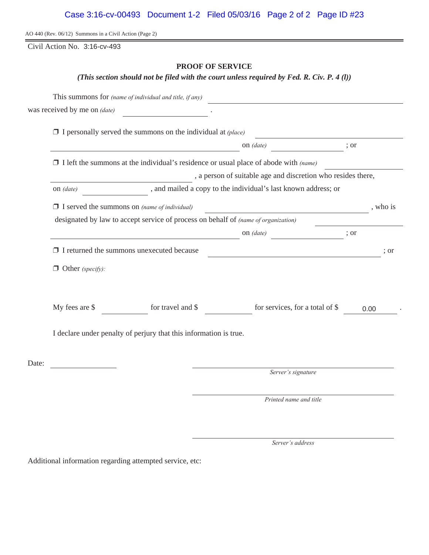# Case 3:16-cv-00493 Document 1-2 Filed 05/03/16 Page 2 of 2 Page ID #23

AO 440 (Rev. 06/12) Summons in a Civil Action (Page 2)

Civil Action No. 3:16-cv-493

# **PROOF OF SERVICE**

*(This section should not be filed with the court unless required by Fed. R. Civ. P. 4 (l))*

|       |                                                                                                | This summons for (name of individual and title, if any)             |  |                                                                                                                       |  |          |  |
|-------|------------------------------------------------------------------------------------------------|---------------------------------------------------------------------|--|-----------------------------------------------------------------------------------------------------------------------|--|----------|--|
|       | was received by me on (date)                                                                   |                                                                     |  |                                                                                                                       |  |          |  |
|       |                                                                                                | $\Box$ I personally served the summons on the individual at (place) |  |                                                                                                                       |  |          |  |
|       | on (date)                                                                                      |                                                                     |  |                                                                                                                       |  |          |  |
|       | $\Box$ I left the summons at the individual's residence or usual place of abode with (name)    |                                                                     |  |                                                                                                                       |  |          |  |
|       | , a person of suitable age and discretion who resides there,                                   |                                                                     |  |                                                                                                                       |  |          |  |
|       | , and mailed a copy to the individual's last known address; or<br>on (date)                    |                                                                     |  |                                                                                                                       |  |          |  |
|       | $\Box$ I served the summons on (name of individual)<br><u> 1980 - Johann Barbara, martin a</u> |                                                                     |  |                                                                                                                       |  | , who is |  |
|       | designated by law to accept service of process on behalf of (name of organization)             |                                                                     |  |                                                                                                                       |  |          |  |
|       | $\Box$ I returned the summons unexecuted because                                               |                                                                     |  | on (date)                                                                                                             |  |          |  |
|       |                                                                                                |                                                                     |  | <u> 1980 - Johann Barbara, martin amerikan basar dan berasal dalam basar dalam basar dalam basar dalam basar dala</u> |  | ; or     |  |
|       | $\Box$ Other (specify):                                                                        |                                                                     |  |                                                                                                                       |  |          |  |
|       | My fees are \$                                                                                 | for travel and \$                                                   |  | for services, for a total of \$                                                                                       |  | 0.00     |  |
|       | I declare under penalty of perjury that this information is true.                              |                                                                     |  |                                                                                                                       |  |          |  |
| Date: |                                                                                                |                                                                     |  |                                                                                                                       |  |          |  |
|       |                                                                                                |                                                                     |  | Server's signature                                                                                                    |  |          |  |
|       |                                                                                                |                                                                     |  | Printed name and title                                                                                                |  |          |  |

Server's address

Additional information regarding attempted service, etc: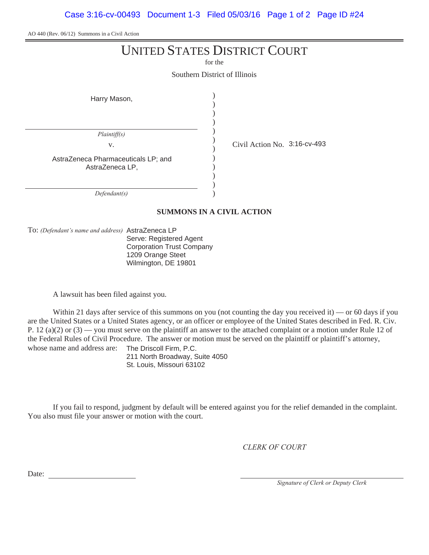Case 3:16-cv-00493 Document 1-3 Filed 05/03/16 Page 1 of 2 Page ID #24

AO 440 (Rev. 06/12) Summons in a Civil Action

# UNITED STATES DISTRICT COURT

for the

Southern District of Illinois

| Harry Mason,                                              |                              |
|-----------------------------------------------------------|------------------------------|
| Plaintiff(s)<br>V.<br>AstraZeneca Pharmaceuticals LP; and | Civil Action No. 3:16-cv-493 |
| AstraZeneca LP,                                           |                              |
| Defendant(s)                                              |                              |

### **SUMMONS IN A CIVIL ACTION**

To: (Defendant's name and address) AstraZeneca LP Serve: Registered Agent Corporation Trust Company

1209 Orange Steet Wilmington, DE 19801

A lawsuit has been filed against you.

Within 21 days after service of this summons on you (not counting the day you received it) — or 60 days if you are the United States or a United States agency, or an officer or employee of the United States described in Fed. R. Civ. P. 12 (a)(2) or  $(3)$  — you must serve on the plaintiff an answer to the attached complaint or a motion under Rule 12 of the Federal Rules of Civil Procedure. The answer or motion must be served on the plaintiff or plaintiff's attorney, whose name and address are: The Driscoll Firm, P.C.

211 North Broadway, Suite 4050 St. Louis, Missouri 63102

If you fail to respond, judgment by default will be entered against you for the relief demanded in the complaint. You also must file your answer or motion with the court.

**CLERK OF COURT** 

Date:

*Signature of Clerk or Deputy Clerk*